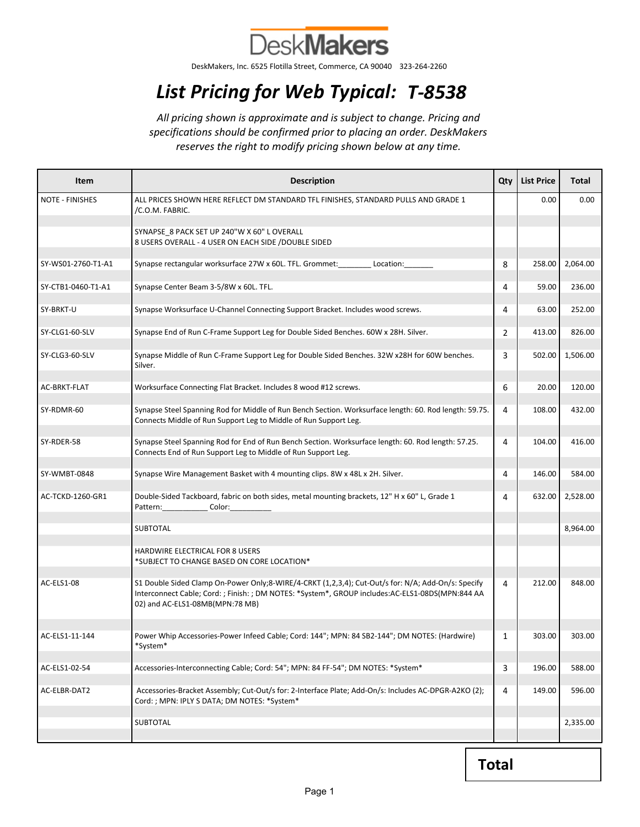

DeskMakers, Inc. 6525 Flotilla Street, Commerce, CA 90040 323-264-2260

## List Pricing for Web Typical: T-8538

All pricing shown is approximate and is subject to change. Pricing and specifications should be confirmed prior to placing an order. DeskMakers reserves the right to modify pricing shown below at any time.

| Item                   | <b>Description</b>                                                                                                                                                                                                                         | Qty | <b>List Price</b> | <b>Total</b> |
|------------------------|--------------------------------------------------------------------------------------------------------------------------------------------------------------------------------------------------------------------------------------------|-----|-------------------|--------------|
| <b>NOTE - FINISHES</b> | ALL PRICES SHOWN HERE REFLECT DM STANDARD TFL FINISHES, STANDARD PULLS AND GRADE 1<br>/C.O.M. FABRIC.                                                                                                                                      |     | 0.00              | 0.00         |
|                        | SYNAPSE_8 PACK SET UP 240"W X 60" L OVERALL<br>8 USERS OVERALL - 4 USER ON EACH SIDE / DOUBLE SIDED                                                                                                                                        |     |                   |              |
| SY-WS01-2760-T1-A1     | Synapse rectangular worksurface 27W x 60L. TFL. Grommet:<br>Location:                                                                                                                                                                      | 8   | 258.00            | 2,064.00     |
| SY-CTB1-0460-T1-A1     | Synapse Center Beam 3-5/8W x 60L. TFL.                                                                                                                                                                                                     | 4   | 59.00             | 236.00       |
| SY-BRKT-U              | Synapse Worksurface U-Channel Connecting Support Bracket. Includes wood screws.                                                                                                                                                            | 4   | 63.00             | 252.00       |
| SY-CLG1-60-SLV         | Synapse End of Run C-Frame Support Leg for Double Sided Benches. 60W x 28H. Silver.                                                                                                                                                        | 2   | 413.00            | 826.00       |
| SY-CLG3-60-SLV         | Synapse Middle of Run C-Frame Support Leg for Double Sided Benches. 32W x28H for 60W benches.<br>Silver.                                                                                                                                   | 3   | 502.00            | 1,506.00     |
| AC-BRKT-FLAT           | Worksurface Connecting Flat Bracket. Includes 8 wood #12 screws.                                                                                                                                                                           | 6   | 20.00             | 120.00       |
| SY-RDMR-60             | Synapse Steel Spanning Rod for Middle of Run Bench Section. Worksurface length: 60. Rod length: 59.75.<br>Connects Middle of Run Support Leg to Middle of Run Support Leg.                                                                 | 4   | 108.00            | 432.00       |
| SY-RDER-58             | Synapse Steel Spanning Rod for End of Run Bench Section. Worksurface length: 60. Rod length: 57.25.<br>Connects End of Run Support Leg to Middle of Run Support Leg.                                                                       | 4   | 104.00            | 416.00       |
| SY-WMBT-0848           | Synapse Wire Management Basket with 4 mounting clips. 8W x 48L x 2H. Silver.                                                                                                                                                               | 4   | 146.00            | 584.00       |
| AC-TCKD-1260-GR1       | Double-Sided Tackboard, fabric on both sides, metal mounting brackets, 12" H x 60" L, Grade 1<br>Pattern: _______________ Color: ___________                                                                                               | 4   | 632.00            | 2,528.00     |
|                        | <b>SUBTOTAL</b>                                                                                                                                                                                                                            |     |                   | 8,964.00     |
|                        | HARDWIRE ELECTRICAL FOR 8 USERS<br>*SUBJECT TO CHANGE BASED ON CORE LOCATION*                                                                                                                                                              |     |                   |              |
| AC-ELS1-08             | S1 Double Sided Clamp On-Power Only;8-WIRE/4-CRKT (1,2,3,4); Cut-Out/s for: N/A; Add-On/s: Specify<br>Interconnect Cable; Cord: ; Finish: ; DM NOTES: *System*, GROUP includes: AC-ELS1-08DS(MPN:844 AA<br>02) and AC-ELS1-08MB(MPN:78 MB) | 4   | 212.00            | 848.00       |
| AC-ELS1-11-144         | Power Whip Accessories-Power Infeed Cable; Cord: 144"; MPN: 84 SB2-144"; DM NOTES: (Hardwire)<br>*System*                                                                                                                                  |     | 303.00            | 303.00       |
| AC-ELS1-02-54          | Accessories-Interconnecting Cable; Cord: 54"; MPN: 84 FF-54"; DM NOTES: *System*                                                                                                                                                           | 3   | 196.00            | 588.00       |
| AC-ELBR-DAT2           | Accessories-Bracket Assembly; Cut-Out/s for: 2-Interface Plate; Add-On/s: Includes AC-DPGR-A2KO (2);<br>Cord: ; MPN: IPLY S DATA; DM NOTES: *System*                                                                                       | 4   | 149.00            | 596.00       |
|                        | <b>SUBTOTAL</b>                                                                                                                                                                                                                            |     |                   | 2,335.00     |

Total